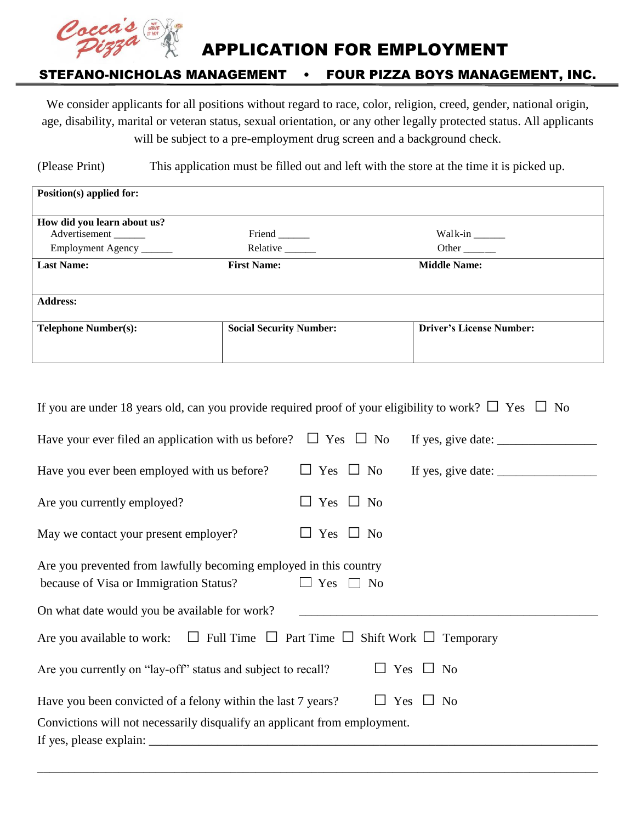

APPLICATION FOR EMPLOYMENT

### STEFANO-NICHOLAS MANAGEMENT • FOUR PIZZA BOYS MANAGEMENT, INC.

We consider applicants for all positions without regard to race, color, religion, creed, gender, national origin, age, disability, marital or veteran status, sexual orientation, or any other legally protected status. All applicants will be subject to a pre-employment drug screen and a background check.

(Please Print) This application must be filled out and left with the store at the time it is picked up.

| Position(s) applied for:    |                                |                                                                          |
|-----------------------------|--------------------------------|--------------------------------------------------------------------------|
|                             |                                |                                                                          |
| How did you learn about us? |                                |                                                                          |
| Advertisement               | Friend ______                  | Walk-in $\_\_\_\_\_\_\_\_\_\_\_\_\_\_\_\_\_\_\_\_\_\_\_\_\_\_\_\_\_\_\_$ |
| Employment Agency           | Relative _______               | Other $\_\_\_\_\_\_\$                                                    |
| <b>Last Name:</b>           | <b>First Name:</b>             | <b>Middle Name:</b>                                                      |
|                             |                                |                                                                          |
| <b>Address:</b>             |                                |                                                                          |
|                             |                                |                                                                          |
| <b>Telephone Number(s):</b> | <b>Social Security Number:</b> | <b>Driver's License Number:</b>                                          |
|                             |                                |                                                                          |
|                             |                                |                                                                          |

| If you are under 18 years old, can you provide required proof of your eligibility to work? $\Box$ Yes $\Box$ No |                      |                      |  |  |
|-----------------------------------------------------------------------------------------------------------------|----------------------|----------------------|--|--|
| Have your ever filed an application with us before? $\Box$ Yes $\Box$ No                                        |                      |                      |  |  |
| Have you ever been employed with us before?                                                                     |                      |                      |  |  |
| Are you currently employed?                                                                                     | $\Box$ Yes $\Box$ No |                      |  |  |
| May we contact your present employer?                                                                           | $\Box$ Yes $\Box$ No |                      |  |  |
| Are you prevented from lawfully becoming employed in this country<br>because of Visa or Immigration Status?     | Yes $\Box$ No        |                      |  |  |
| On what date would you be available for work?                                                                   |                      |                      |  |  |
| Are you available to work: $\Box$ Full Time $\Box$ Part Time $\Box$ Shift Work $\Box$ Temporary                 |                      |                      |  |  |
| Are you currently on "lay-off" status and subject to recall?                                                    |                      | $\Box$ Yes $\Box$ No |  |  |
| $\Box$ Yes $\Box$ No<br>Have you been convicted of a felony within the last 7 years?                            |                      |                      |  |  |
| Convictions will not necessarily disqualify an applicant from employment.                                       |                      |                      |  |  |

\_\_\_\_\_\_\_\_\_\_\_\_\_\_\_\_\_\_\_\_\_\_\_\_\_\_\_\_\_\_\_\_\_\_\_\_\_\_\_\_\_\_\_\_\_\_\_\_\_\_\_\_\_\_\_\_\_\_\_\_\_\_\_\_\_\_\_\_\_\_\_\_\_\_\_\_\_\_\_\_\_\_\_\_\_\_\_\_\_\_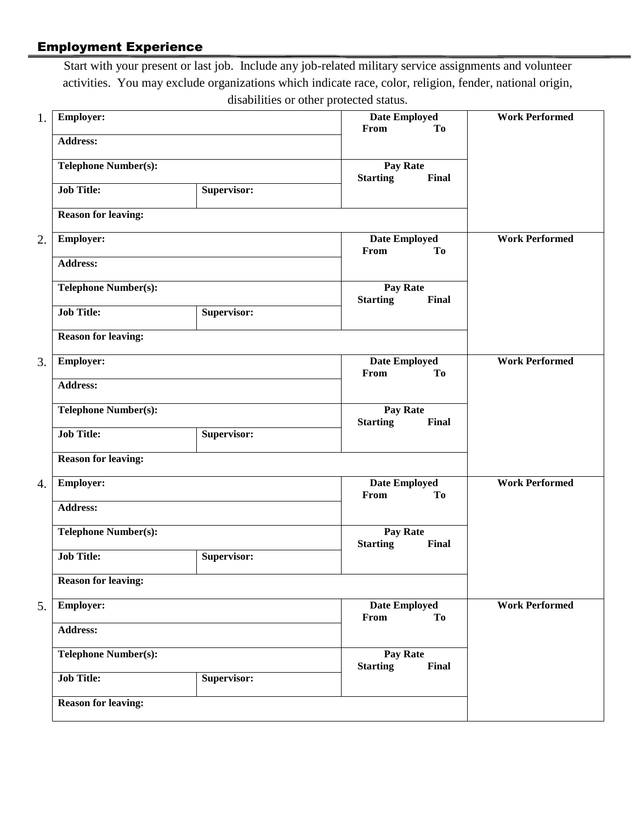# Employment Experience

Start with your present or last job. Include any job-related military service assignments and volunteer activities. You may exclude organizations which indicate race, color, religion, fender, national origin, disabilities or other protected status.

| 1. | <b>Employer:</b>            |             | Date Employed<br><b>To</b><br>From          | <b>Work Performed</b> |  |  |
|----|-----------------------------|-------------|---------------------------------------------|-----------------------|--|--|
|    | <b>Address:</b>             |             |                                             |                       |  |  |
|    | <b>Telephone Number(s):</b> |             | Pay Rate<br>Final<br><b>Starting</b>        |                       |  |  |
|    | <b>Job Title:</b>           | Supervisor: |                                             |                       |  |  |
|    | <b>Reason for leaving:</b>  |             |                                             |                       |  |  |
| 2. | <b>Employer:</b>            |             | <b>Date Employed</b><br>From<br><b>To</b>   | <b>Work Performed</b> |  |  |
|    | <b>Address:</b>             |             |                                             |                       |  |  |
|    | <b>Telephone Number(s):</b> |             | Pay Rate<br><b>Starting</b><br>Final        |                       |  |  |
|    | <b>Job Title:</b>           | Supervisor: |                                             |                       |  |  |
|    | <b>Reason for leaving:</b>  |             |                                             |                       |  |  |
| 3. | <b>Employer:</b>            |             | Date Employed<br>From<br>To                 | <b>Work Performed</b> |  |  |
|    | <b>Address:</b>             |             |                                             |                       |  |  |
|    | <b>Telephone Number(s):</b> |             | Pay Rate<br>Final<br><b>Starting</b>        |                       |  |  |
|    | <b>Job Title:</b>           | Supervisor: |                                             |                       |  |  |
|    | <b>Reason for leaving:</b>  |             |                                             |                       |  |  |
| 4. | <b>Employer:</b>            |             | Date Employed<br>From<br>To                 | <b>Work Performed</b> |  |  |
|    | <b>Address:</b>             |             |                                             |                       |  |  |
|    | <b>Telephone Number(s):</b> |             | <b>Pay Rate</b><br><b>Starting</b><br>Final |                       |  |  |
|    | <b>Job Title:</b>           | Supervisor: |                                             |                       |  |  |
|    | <b>Reason for leaving:</b>  |             |                                             |                       |  |  |
| 5. | <b>Employer:</b>            |             | <b>Date Employed</b><br>From<br><b>To</b>   | <b>Work Performed</b> |  |  |
|    | <b>Address:</b>             |             |                                             |                       |  |  |
|    | <b>Telephone Number(s):</b> |             | Pay Rate<br><b>Starting</b><br><b>Final</b> |                       |  |  |
|    | <b>Job Title:</b>           | Supervisor: |                                             |                       |  |  |
|    | <b>Reason for leaving:</b>  |             |                                             |                       |  |  |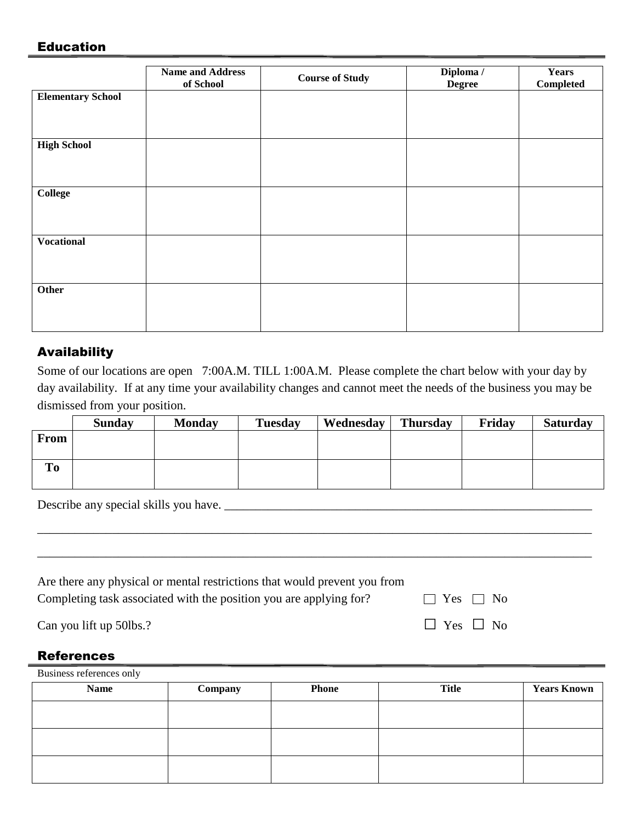#### Education

|                          | <b>Name and Address</b><br>of School | <b>Course of Study</b> | Diploma /<br><b>Degree</b> | <b>Years</b><br>Completed |
|--------------------------|--------------------------------------|------------------------|----------------------------|---------------------------|
| <b>Elementary School</b> |                                      |                        |                            |                           |
|                          |                                      |                        |                            |                           |
| <b>High School</b>       |                                      |                        |                            |                           |
|                          |                                      |                        |                            |                           |
| <b>College</b>           |                                      |                        |                            |                           |
|                          |                                      |                        |                            |                           |
| <b>Vocational</b>        |                                      |                        |                            |                           |
|                          |                                      |                        |                            |                           |
| Other                    |                                      |                        |                            |                           |
|                          |                                      |                        |                            |                           |

## Availability

Some of our locations are open 7:00A.M. TILL 1:00A.M. Please complete the chart below with your day by day availability. If at any time your availability changes and cannot meet the needs of the business you may be dismissed from your position.

|                | <b>Sunday</b> | <b>Monday</b> | <b>Tuesday</b> | Wednesday | <b>Thursday</b> | Friday | <b>Saturday</b> |
|----------------|---------------|---------------|----------------|-----------|-----------------|--------|-----------------|
| <b>From</b>    |               |               |                |           |                 |        |                 |
|                |               |               |                |           |                 |        |                 |
| T <sub>0</sub> |               |               |                |           |                 |        |                 |
|                |               |               |                |           |                 |        |                 |

Describe any special skills you have. \_\_\_\_\_\_\_\_\_\_\_\_\_\_\_\_\_\_\_\_\_\_\_\_\_\_\_\_\_\_\_\_\_\_\_\_\_\_\_\_\_\_\_\_\_\_\_\_\_\_\_\_\_\_\_\_\_\_\_

| Are there any physical or mental restrictions that would prevent you from |                        |
|---------------------------------------------------------------------------|------------------------|
| Completing task associated with the position you are applying for?        | $\vert$ Yes $\vert$ No |
| Can you lift up 50lbs.?                                                   | $\Box$ Yes $\Box$ No   |

\_\_\_\_\_\_\_\_\_\_\_\_\_\_\_\_\_\_\_\_\_\_\_\_\_\_\_\_\_\_\_\_\_\_\_\_\_\_\_\_\_\_\_\_\_\_\_\_\_\_\_\_\_\_\_\_\_\_\_\_\_\_\_\_\_\_\_\_\_\_\_\_\_\_\_\_\_\_\_\_\_\_\_\_\_\_\_\_\_

\_\_\_\_\_\_\_\_\_\_\_\_\_\_\_\_\_\_\_\_\_\_\_\_\_\_\_\_\_\_\_\_\_\_\_\_\_\_\_\_\_\_\_\_\_\_\_\_\_\_\_\_\_\_\_\_\_\_\_\_\_\_\_\_\_\_\_\_\_\_\_\_\_\_\_\_\_\_\_\_\_\_\_\_\_\_\_\_\_

#### **References**

| <b>Name</b> | Company | <b>Phone</b> | <b>Title</b> | <b>Years Known</b> |
|-------------|---------|--------------|--------------|--------------------|
|             |         |              |              |                    |
|             |         |              |              |                    |
|             |         |              |              |                    |
|             |         |              |              |                    |
|             |         |              |              |                    |